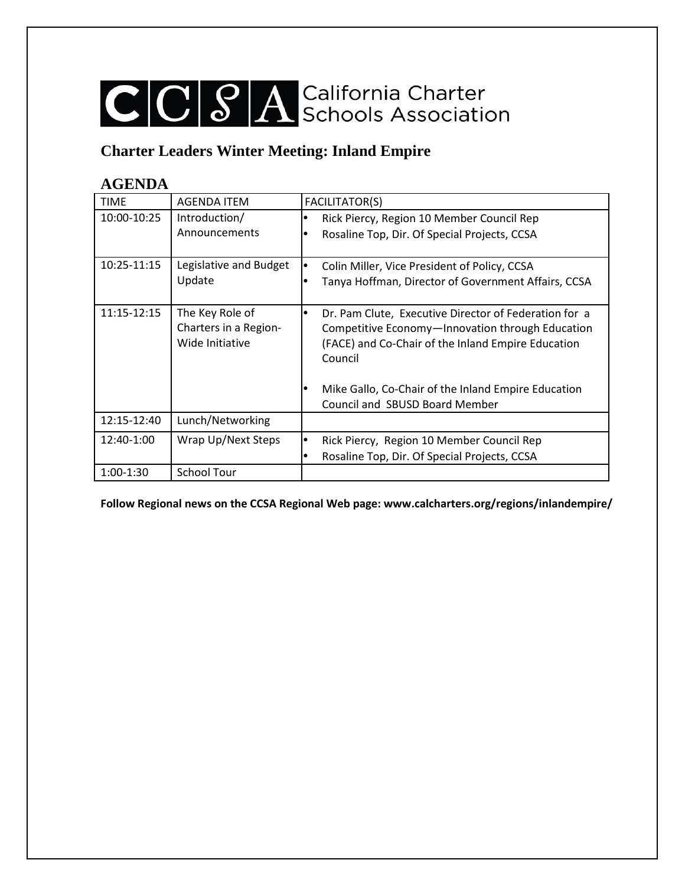## CCCSA California Charter

### **Charter Leaders Winter Meeting: Inland Empire**

#### **AGENDA**

| <b>TIME</b> | <b>AGENDA ITEM</b>                       | <b>FACILITATOR(S)</b>                                                                                  |
|-------------|------------------------------------------|--------------------------------------------------------------------------------------------------------|
| 10:00-10:25 | Introduction/                            | Rick Piercy, Region 10 Member Council Rep                                                              |
|             | Announcements                            | Rosaline Top, Dir. Of Special Projects, CCSA                                                           |
| 10:25-11:15 | Legislative and Budget                   | Colin Miller, Vice President of Policy, CCSA                                                           |
|             | Update                                   | Tanya Hoffman, Director of Government Affairs, CCSA                                                    |
| 11:15-12:15 | The Key Role of                          | Dr. Pam Clute, Executive Director of Federation for a                                                  |
|             | Charters in a Region-<br>Wide Initiative | Competitive Economy-Innovation through Education<br>(FACE) and Co-Chair of the Inland Empire Education |
|             |                                          | Council                                                                                                |
|             |                                          | Mike Gallo, Co-Chair of the Inland Empire Education                                                    |
|             |                                          | Council and SBUSD Board Member                                                                         |
| 12:15-12:40 | Lunch/Networking                         |                                                                                                        |
| 12:40-1:00  | Wrap Up/Next Steps                       | Rick Piercy, Region 10 Member Council Rep                                                              |
|             |                                          | Rosaline Top, Dir. Of Special Projects, CCSA                                                           |
| 1:00-1:30   | <b>School Tour</b>                       |                                                                                                        |

**Follow Regional news on the CCSA Regional Web page: www.calcharters.org/regions/inlandempire/**